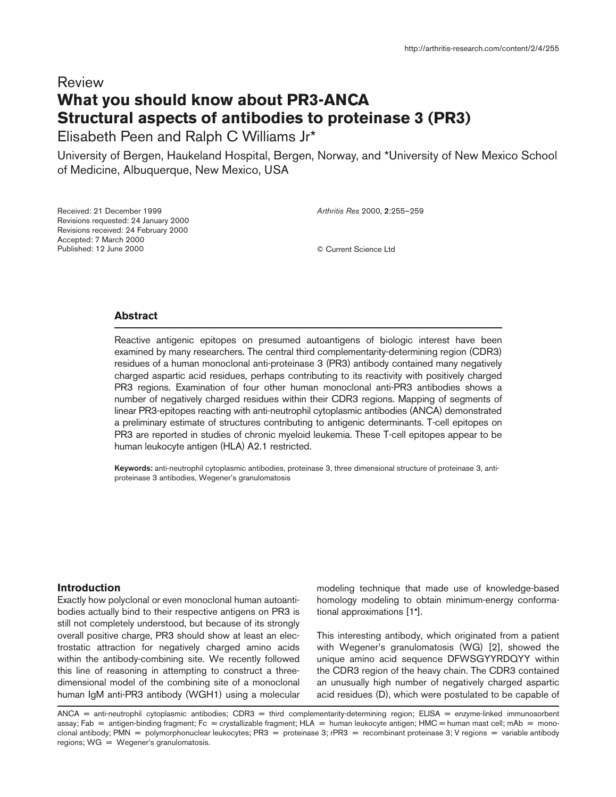# Review **What you should know about PR3-ANCA Structural aspects of antibodies to proteinase 3 (PR3)**

Elisabeth Peen and Ralph C Williams Jr\*

University of Bergen, Haukeland Hospital, Bergen, Norway, and \*University of New Mexico School of Medicine, Albuquerque, New Mexico, USA

Received: 21 December 1999 Revisions requested: 24 January 2000 Revisions received: 24 February 2000 Accepted: 7 March 2000 Published: 12 June 2000

*Arthritis Res* 2000, **2**:255–259

© Current Science Ltd

## **Abstract**

Reactive antigenic epitopes on presumed autoantigens of biologic interest have been examined by many researchers. The central third complementarity-determining region (CDR3) residues of a human monoclonal anti-proteinase 3 (PR3) antibody contained many negatively charged aspartic acid residues, perhaps contributing to its reactivity with positively charged PR3 regions. Examination of four other human monoclonal anti-PR3 antibodies shows a number of negatively charged residues within their CDR3 regions. Mapping of segments of linear PR3-epitopes reacting with anti-neutrophil cytoplasmic antibodies (ANCA) demonstrated a preliminary estimate of structures contributing to antigenic determinants. T-cell epitopes on PR3 are reported in studies of chronic myeloid leukemia. These T-cell epitopes appear to be human leukocyte antigen (HLA) A2.1 restricted.

**Keywords:** anti-neutrophil cytoplasmic antibodies, proteinase 3, three dimensional structure of proteinase 3, antiproteinase 3 antibodies, Wegener's granulomatosis

## **Introduction**

Exactly how polyclonal or even monoclonal human autoantibodies actually bind to their respective antigens on PR3 is still not completely understood, but because of its strongly overall positive charge, PR3 should show at least an electrostatic attraction for negatively charged amino acids within the antibody-combining site. We recently followed this line of reasoning in attempting to construct a threedimensional model of the combining site of a monoclonal human IgM anti-PR3 antibody (WGH1) using a molecular modeling technique that made use of knowledge-based homology modeling to obtain minimum-energy conformational approximations [1•].

This interesting antibody, which originated from a patient with Wegener's granulomatosis (WG) [2], showed the unique amino acid sequence DFWSGYYRDQYY within the CDR3 region of the heavy chain. The CDR3 contained an unusually high number of negatively charged aspartic acid residues (D), which were postulated to be capable of

ANCA = anti-neutrophil cytoplasmic antibodies; CDR3 = third complementarity-determining region; ELISA = enzyme-linked immunosorbent assay; Fab = antigen-binding fragment; Fc = crystallizable fragment; HLA = human leukocyte antigen; HMC = human mast cell; mAb = monoclonal antibody; PMN = polymorphonuclear leukocytes; PR3 = proteinase 3; rPR3 = recombinant proteinase 3; V regions = variable antibody regions; WG = Wegener's granulomatosis.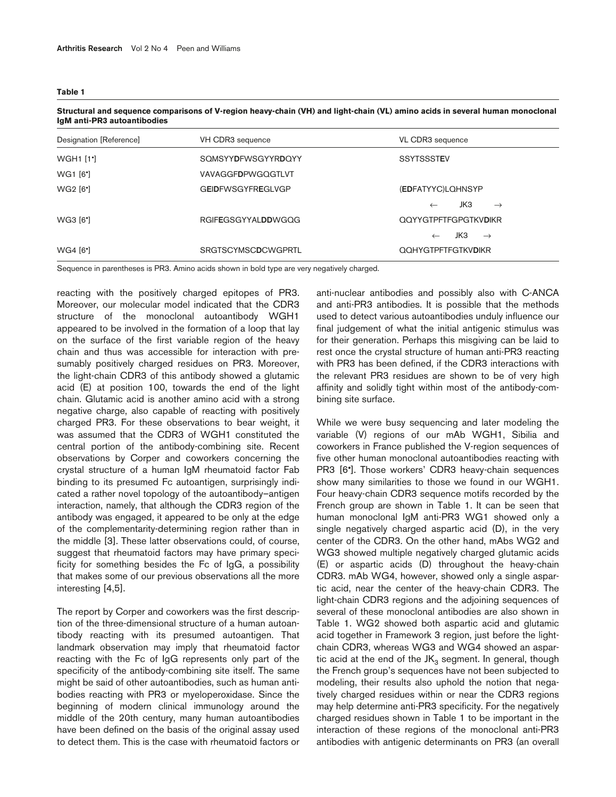**Table 1**

| Designation [Reference] | VH CDR3 sequence          | VL CDR3 sequence                     |
|-------------------------|---------------------------|--------------------------------------|
| <b>WGH1 [1']</b>        | <b>SOMSYYDFWSGYYRDOYY</b> | <b>SSYTSSSTEV</b>                    |
| WG1 [6 <sup>*</sup> ]   | VAVAGGFDPWGQGTLVT         |                                      |
| WG2 [6 <sup>•</sup> ]   | <b>GEIDFWSGYFREGLVGP</b>  | (EDFATYYC)LQHNSYP                    |
|                         |                           | JK3<br>$\rightarrow$<br>$\leftarrow$ |
| WG3 [6 <sup>*</sup> ]   | <b>RGIFEGSGYYALDDWGQG</b> | <b>QQYYGTPFTFGPGTKVDIKR</b>          |
|                         |                           | JКЗ<br>$\rightarrow$<br>$\leftarrow$ |
| WG4 [6 <sup>*</sup> ]   | <b>SRGTSCYMSCDCWGPRTL</b> | QQHYGTPFTFGTKVDIKR                   |

**Structural and sequence comparisons of V-region heavy-chain (VH) and light-chain (VL) amino acids in several human monoclonal IgM anti-PR3 autoantibodies**

Sequence in parentheses is PR3. Amino acids shown in bold type are very negatively charged.

reacting with the positively charged epitopes of PR3. Moreover, our molecular model indicated that the CDR3 structure of the monoclonal autoantibody WGH1 appeared to be involved in the formation of a loop that lay on the surface of the first variable region of the heavy chain and thus was accessible for interaction with presumably positively charged residues on PR3. Moreover, the light-chain CDR3 of this antibody showed a glutamic acid (E) at position 100, towards the end of the light chain. Glutamic acid is another amino acid with a strong negative charge, also capable of reacting with positively charged PR3. For these observations to bear weight, it was assumed that the CDR3 of WGH1 constituted the central portion of the antibody-combining site. Recent observations by Corper and coworkers concerning the crystal structure of a human IgM rheumatoid factor Fab binding to its presumed Fc autoantigen, surprisingly indicated a rather novel topology of the autoantibody–antigen interaction, namely, that although the CDR3 region of the antibody was engaged, it appeared to be only at the edge of the complementarity-determining region rather than in the middle [3]. These latter observations could, of course, suggest that rheumatoid factors may have primary specificity for something besides the Fc of IgG, a possibility that makes some of our previous observations all the more interesting [4,5].

The report by Corper and coworkers was the first description of the three-dimensional structure of a human autoantibody reacting with its presumed autoantigen. That landmark observation may imply that rheumatoid factor reacting with the Fc of IgG represents only part of the specificity of the antibody-combining site itself. The same might be said of other autoantibodies, such as human antibodies reacting with PR3 or myeloperoxidase. Since the beginning of modern clinical immunology around the middle of the 20th century, many human autoantibodies have been defined on the basis of the original assay used to detect them. This is the case with rheumatoid factors or

anti-nuclear antibodies and possibly also with C-ANCA and anti-PR3 antibodies. It is possible that the methods used to detect various autoantibodies unduly influence our final judgement of what the initial antigenic stimulus was for their generation. Perhaps this misgiving can be laid to rest once the crystal structure of human anti-PR3 reacting with PR3 has been defined, if the CDR3 interactions with the relevant PR3 residues are shown to be of very high affinity and solidly tight within most of the antibody-combining site surface.

While we were busy sequencing and later modeling the variable (V) regions of our mAb WGH1, Sibilia and coworkers in France published the V-region sequences of five other human monoclonal autoantibodies reacting with PR3 [6•]. Those workers' CDR3 heavy-chain sequences show many similarities to those we found in our WGH1. Four heavy-chain CDR3 sequence motifs recorded by the French group are shown in Table 1. It can be seen that human monoclonal IgM anti-PR3 WG1 showed only a single negatively charged aspartic acid (D), in the very center of the CDR3. On the other hand, mAbs WG2 and WG3 showed multiple negatively charged glutamic acids (E) or aspartic acids (D) throughout the heavy-chain CDR3. mAb WG4, however, showed only a single aspartic acid, near the center of the heavy-chain CDR3. The light-chain CDR3 regions and the adjoining sequences of several of these monoclonal antibodies are also shown in Table 1. WG2 showed both aspartic acid and glutamic acid together in Framework 3 region, just before the lightchain CDR3, whereas WG3 and WG4 showed an aspartic acid at the end of the  $JK<sub>3</sub>$  segment. In general, though the French group's sequences have not been subjected to modeling, their results also uphold the notion that negatively charged residues within or near the CDR3 regions may help determine anti-PR3 specificity. For the negatively charged residues shown in Table 1 to be important in the interaction of these regions of the monoclonal anti-PR3 antibodies with antigenic determinants on PR3 (an overall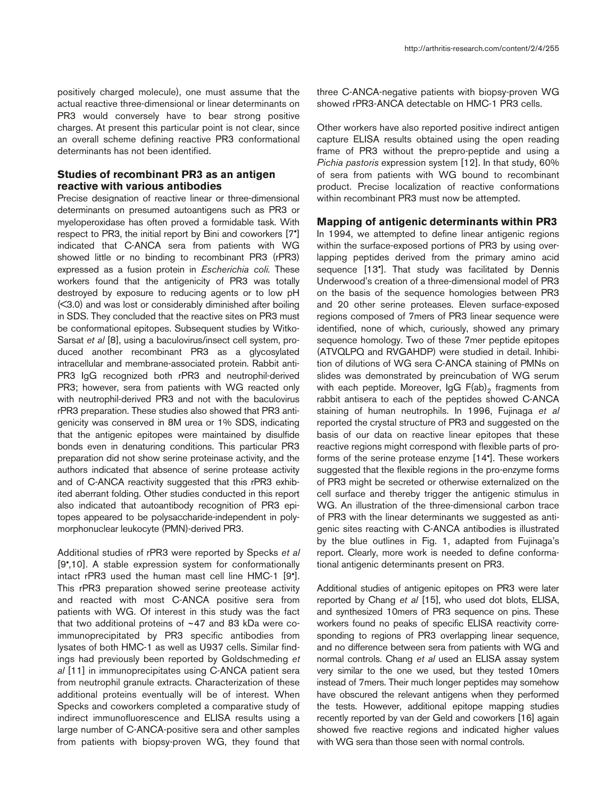positively charged molecule), one must assume that the actual reactive three-dimensional or linear determinants on PR3 would conversely have to bear strong positive charges. At present this particular point is not clear, since an overall scheme defining reactive PR3 conformational determinants has not been identified.

# **Studies of recombinant PR3 as an antigen reactive with various antibodies**

Precise designation of reactive linear or three-dimensional determinants on presumed autoantigens such as PR3 or myeloperoxidase has often proved a formidable task. With respect to PR3, the initial report by Bini and coworkers [7•] indicated that C-ANCA sera from patients with WG showed little or no binding to recombinant PR3 (rPR3) expressed as a fusion protein in *Escherichia coli.* These workers found that the antigenicity of PR3 was totally destroyed by exposure to reducing agents or to low pH (<3.0) and was lost or considerably diminished after boiling in SDS. They concluded that the reactive sites on PR3 must be conformational epitopes. Subsequent studies by Witko-Sarsat *et al* [8], using a baculovirus/insect cell system, produced another recombinant PR3 as a glycosylated intracellular and membrane-associated protein. Rabbit anti-PR3 IgG recognized both rPR3 and neutrophil-derived PR3; however, sera from patients with WG reacted only with neutrophil-derived PR3 and not with the baculovirus rPR3 preparation. These studies also showed that PR3 antigenicity was conserved in 8M urea or 1% SDS, indicating that the antigenic epitopes were maintained by disulfide bonds even in denaturing conditions. This particular PR3 preparation did not show serine proteinase activity, and the authors indicated that absence of serine protease activity and of C-ANCA reactivity suggested that this rPR3 exhibited aberrant folding. Other studies conducted in this report also indicated that autoantibody recognition of PR3 epitopes appeared to be polysaccharide-independent in polymorphonuclear leukocyte (PMN)-derived PR3.

Additional studies of rPR3 were reported by Specks *et al* [9•,10]. A stable expression system for conformationally intact rPR3 used the human mast cell line HMC-1 [9•]. This rPR3 preparation showed serine preotease activity and reacted with most C-ANCA positive sera from patients with WG. Of interest in this study was the fact that two additional proteins of ~47 and 83 kDa were coimmunoprecipitated by PR3 specific antibodies from lysates of both HMC-1 as well as U937 cells. Similar findings had previously been reported by Goldschmeding *et al* [11] in immunoprecipitates using C-ANCA patient sera from neutrophil granule extracts. Characterization of these additional proteins eventually will be of interest. When Specks and coworkers completed a comparative study of indirect immunofluorescence and ELISA results using a large number of C-ANCA-positive sera and other samples from patients with biopsy-proven WG, they found that

three C-ANCA-negative patients with biopsy-proven WG showed rPR3-ANCA detectable on HMC-1 PR3 cells.

Other workers have also reported positive indirect antigen capture ELISA results obtained using the open reading frame of PR3 without the prepro-peptide and using a *Pichia pastoris* expression system [12]. In that study, 60% of sera from patients with WG bound to recombinant product. Precise localization of reactive conformations within recombinant PR3 must now be attempted.

#### **Mapping of antigenic determinants within PR3**

In 1994, we attempted to define linear antigenic regions within the surface-exposed portions of PR3 by using overlapping peptides derived from the primary amino acid sequence [13•]. That study was facilitated by Dennis Underwood's creation of a three-dimensional model of PR3 on the basis of the sequence homologies between PR3 and 20 other serine proteases. Eleven surface-exposed regions composed of 7mers of PR3 linear sequence were identified, none of which, curiously, showed any primary sequence homology. Two of these 7mer peptide epitopes (ATVQLPQ and RVGAHDP) were studied in detail. Inhibition of dilutions of WG sera C-ANCA staining of PMNs on slides was demonstrated by preincubation of WG serum with each peptide. Moreover,  $\text{lgG F(ab)}_2$  fragments from rabbit antisera to each of the peptides showed C-ANCA staining of human neutrophils. In 1996, Fujinaga *et al* reported the crystal structure of PR3 and suggested on the basis of our data on reactive linear epitopes that these reactive regions might correspond with flexible parts of proforms of the serine protease enzyme [14•]. These workers suggested that the flexible regions in the pro-enzyme forms of PR3 might be secreted or otherwise externalized on the cell surface and thereby trigger the antigenic stimulus in WG. An illustration of the three-dimensional carbon trace of PR3 with the linear determinants we suggested as antigenic sites reacting with C-ANCA antibodies is illustrated by the blue outlines in Fig. 1, adapted from Fujinaga's report. Clearly, more work is needed to define conformational antigenic determinants present on PR3.

Additional studies of antigenic epitopes on PR3 were later reported by Chang *et al* [15], who used dot blots, ELISA, and synthesized 10mers of PR3 sequence on pins. These workers found no peaks of specific ELISA reactivity corresponding to regions of PR3 overlapping linear sequence, and no difference between sera from patients with WG and normal controls. Chang *et al* used an ELISA assay system very similar to the one we used, but they tested 10mers instead of 7mers. Their much longer peptides may somehow have obscured the relevant antigens when they performed the tests. However, additional epitope mapping studies recently reported by van der Geld and coworkers [16] again showed five reactive regions and indicated higher values with WG sera than those seen with normal controls.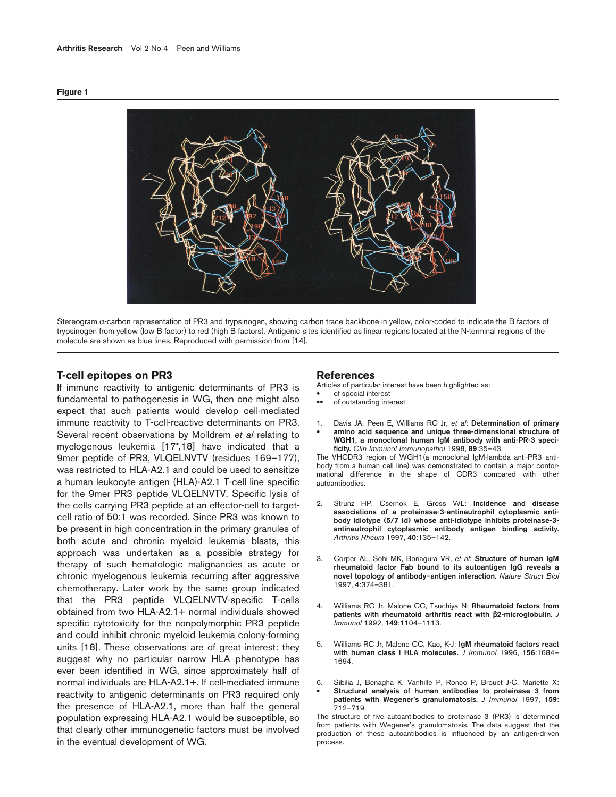



Stereogram α-carbon representation of PR3 and trypsinogen, showing carbon trace backbone in yellow, color-coded to indicate the B factors of trypsinogen from yellow (low B factor) to red (high B factors). Antigenic sites identified as linear regions located at the N-terminal regions of the molecule are shown as blue lines. Reproduced with permission from [14].

## **T-cell epitopes on PR3**

If immune reactivity to antigenic determinants of PR3 is fundamental to pathogenesis in WG, then one might also expect that such patients would develop cell-mediated immune reactivity to T-cell-reactive determinants on PR3. Several recent observations by Molldrem *et al* relating to myelogenous leukemia [17•,18] have indicated that a 9mer peptide of PR3, VLQELNVTV (residues 169-177), was restricted to HLA-A2.1 and could be used to sensitize a human leukocyte antigen (HLA)-A2.1 T-cell line specific for the 9mer PR3 peptide VLQELNVTV. Specific lysis of the cells carrying PR3 peptide at an effector-cell to targetcell ratio of 50:1 was recorded. Since PR3 was known to be present in high concentration in the primary granules of both acute and chronic myeloid leukemia blasts, this approach was undertaken as a possible strategy for therapy of such hematologic malignancies as acute or chronic myelogenous leukemia recurring after aggressive chemotherapy. Later work by the same group indicated that the PR3 peptide VLQELNVTV-specific T-cells obtained from two HLA-A2.1+ normal individuals showed specific cytotoxicity for the nonpolymorphic PR3 peptide and could inhibit chronic myeloid leukemia colony-forming units [18]. These observations are of great interest: they suggest why no particular narrow HLA phenotype has ever been identified in WG, since approximately half of normal individuals are HLA-A2.1+. If cell-mediated immune reactivity to antigenic determinants on PR3 required only the presence of HLA-A2.1, more than half the general population expressing HLA-A2.1 would be susceptible, so that clearly other immunogenetic factors must be involved in the eventual development of WG.

## **References**

Articles of particular interest have been highlighted as:

- of special interest
- of outstanding interest
- 1. Davis JA, Peen E, Williams RC Jr, *et al*: **Determination of primary**
- **amino acid sequence and unique three-dimensional structure of WGH1, a monoclonal human IgM antibody with anti-PR-3 specificity.** *Clin Immunol Immunopathol* 1998, **89**:35–43.

The VHCDR3 region of WGH1(a monoclonal IgM-lambda anti-PR3 antibody from a human cell line) was demonstrated to contain a major conformational difference in the shape of CDR3 compared with other autoantibodies.

- 2. Strunz HP, Csernok E, Gross WL: **Incidence and disease associations of a proteinase-3-antineutrophil cytoplasmic antibody idiotype (5/7 Id) whose anti-idiotype inhibits proteinase-3 antineutrophil cytoplasmic antibody antigen binding activity.** *Arthritis Rheum* 1997, **40**:135–142.
- 3. Corper AL, Sohi MK, Bonagura VR, *et al*: **Structure of human IgM rheumatoid factor Fab bound to its autoantigen IgG reveals a novel topology of antibody–antigen interaction.** *Nature Struct Biol* 1997, **4**:374–381.
- 4. Williams RC Jr, Malone CC, Tsuchiya N: **Rheumatoid factors from patients with rheumatoid arthritis react with** β**2-microglobulin.** *J Immunol* 1992, **149**:1104–1113.
- 5. Williams RC Jr, Malone CC, Kao, K-J: **IgM rheumatoid factors react with human class I HLA molecules.** *J Immunol* 1996, **156**:1684– 1694.
- 6. Sibilia J, Benagha K, Vanhille P, Ronco P, Brouet J-C, Mariette X: • **Structural analysis of human antibodies to proteinase 3 from patients with Wegener's granulomatosis.** *J Immunol* 1997, **159**: 712–719.

The structure of five autoantibodies to proteinase 3 (PR3) is determined from patients with Wegener's granulomatosis. The data suggest that the production of these autoantibodies is influenced by an antigen-driven process.